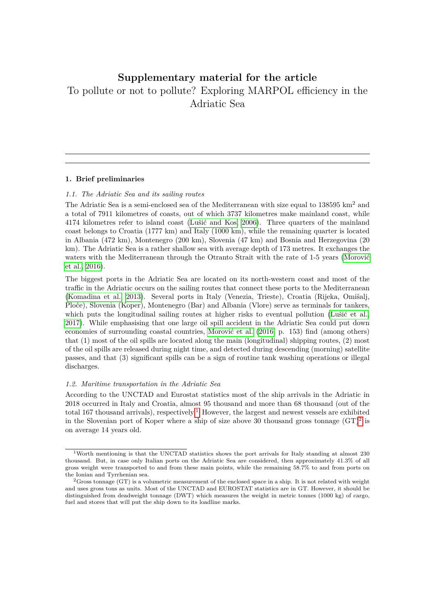# <span id="page-0-0"></span>**Supplementary material for the article** To pollute or not to pollute? Exploring MARPOL efficiency in the Adriatic Sea

## **1. Brief preliminaries**

## *1.1. The Adriatic Sea and its sailing routes*

The Adriatic Sea is a semi-enclosed sea of the Mediterranean with size equal to  $138595 \text{ km}^2$  and a total of 7911 kilometres of coasts, out of which 3737 kilometres make mainland coast, while 4174 kilometres refer to island coast [\(Lušić and Kos, 2006\)](#page-7-0). Three quarters of the mainland coast belongs to Croatia (1777 km) and Italy (1000 km), while the remaining quarter is located in Albania (472 km), Montenegro (200 km), Slovenia (47 km) and Bosnia and Herzegovina (20 km). The Adriatic Sea is a rather shallow sea with average depth of 173 metres. It exchanges the waters with the Mediterranean through the Otranto Strait with the rate of 1-5 years [\(Morović](#page-7-1) [et al., 2016\)](#page-7-1).

The biggest ports in the Adriatic Sea are located on its north-western coast and most of the traffic in the Adriatic occurs on the sailing routes that connect these ports to the Mediterranean [\(Komadina et al., 2013\)](#page-7-2). Several ports in Italy (Venezia, Trieste), Croatia (Rijeka, Omišalj, Ploče), Slovenia (Koper), Montenegro (Bar) and Albania (Vlore) serve as terminals for tankers, which puts the longitudinal sailing routes at higher risks to eventual pollution [\(Lušić et al.,](#page-7-3) [2017\)](#page-7-3). While emphasising that one large oil spill accident in the Adriatic Sea could put down economies of surrounding coastal countries, [Morović et al.](#page-7-1) [\(2016,](#page-7-1) p. 153) find (among others) that (1) most of the oil spills are located along the main (longitudinal) shipping routes, (2) most of the oil spills are released during night time, and detected during descending (morning) satellite passes, and that (3) significant spills can be a sign of routine tank washing operations or illegal discharges.

### *1.2. Maritime transportation in the Adriatic Sea*

According to the UNCTAD and Eurostat statistics most of the ship arrivals in the Adriatic in 2018 occurred in Italy and Croatia, almost 95 thousand and more than 68 thousand (out of the total 167 thousand arrivals), respectively.<sup>1</sup> However, the largest and newest vessels are exhibited in the Slovenian port of Koper where a ship of size above 30 thousand gross tonnage  $(GT)^2$  is on average 14 years old.

 $1$ Worth mentioning is that the UNCTAD statistics shows the port arrivals for Italy standing at almost 230 thousand. But, in case only Italian ports on the Adriatic Sea are considered, then approximately 41.3% of all gross weight were transported to and from these main points, while the remaining 58.7% to and from ports on the Ionian and Tyrrhenian sea.

<sup>2</sup>Gross tonnage (GT) is a volumetric measurement of the enclosed space in a ship. It is not related with weight and uses gross tons as units. Most of the UNCTAD and EUROSTAT statistics are in GT. However, it should be distinguished from deadweight tonnage (DWT) which measures the weight in metric tonnes (1000 kg) of cargo, fuel and stores that will put the ship down to its loadline marks.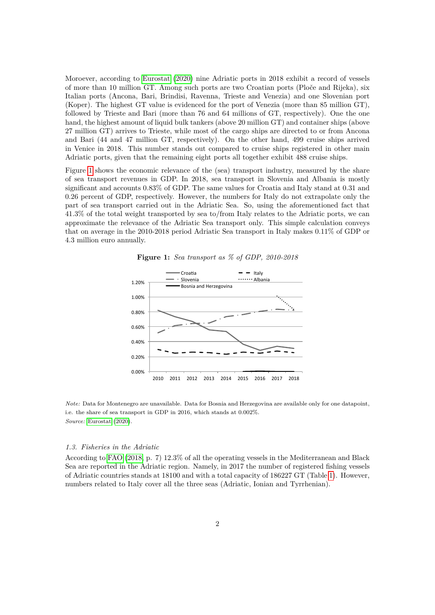Moroever, according to [Eurostat](#page-7-4) [\(2020\)](#page-7-4) nine Adriatic ports in 2018 exhibit a record of vessels of more than 10 million GT. Among such ports are two Croatian ports (Ploče and Rijeka), six Italian ports (Ancona, Bari, Brindisi, Ravenna, Trieste and Venezia) and one Slovenian port (Koper). The highest GT value is evidenced for the port of Venezia (more than 85 million GT), followed by Trieste and Bari (more than 76 and 64 millions of GT, respectively). One the one hand, the highest amount of liquid bulk tankers (above 20 million GT) and container ships (above 27 million GT) arrives to Trieste, while most of the cargo ships are directed to or from Ancona and Bari (44 and 47 million GT, respectively). On the other hand, 499 cruise ships arrived in Venice in 2018. This number stands out compared to cruise ships registered in other main Adriatic ports, given that the remaining eight ports all together exhibit 488 cruise ships.

Figure [1](#page-1-0) shows the economic relevance of the (sea) transport industry, measured by the share of sea transport revenues in GDP. In 2018, sea transport in Slovenia and Albania is mostly significant and accounts 0.83% of GDP. The same values for Croatia and Italy stand at 0.31 and 0.26 percent of GDP, respectively. However, the numbers for Italy do not extrapolate only the part of sea transport carried out in the Adriatic Sea. So, using the aforementioned fact that 41.3% of the total weight transported by sea to/from Italy relates to the Adriatic ports, we can approximate the relevance of the Adriatic Sea transport only. This simple calculation conveys that on average in the 2010-2018 period Adriatic Sea transport in Italy makes 0.11% of GDP or 4.3 million euro annually.

<span id="page-1-0"></span>

**Figure 1:** *Sea transport as % of GDP, 2010-2018*

*Note:* Data for Montenegro are unavailable. Data for Bosnia and Herzegovina are available only for one datapoint, i.e. the share of sea transport in GDP in 2016, which stands at 0.002%. *Source:* [Eurostat](#page-7-4) [\(2020\)](#page-7-4).

## *1.3. Fisheries in the Adriatic*

According to [FAO](#page-7-5) [\(2018,](#page-7-5) p. 7) 12.3% of all the operating vessels in the Mediterranean and Black Sea are reported in the Adriatic region. Namely, in 2017 the number of registered fishing vessels of Adriatic countries stands at 18100 and with a total capacity of 186227 GT (Table [1\)](#page-2-0). However, numbers related to Italy cover all the three seas (Adriatic, Ionian and Tyrrhenian).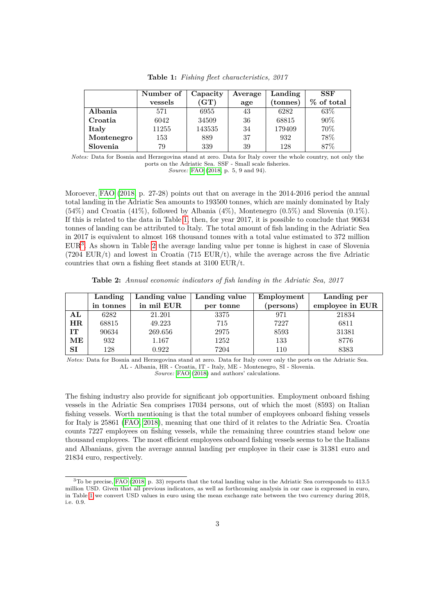<span id="page-2-0"></span>

|            | Number of | Capacity   | Average | Landing  | <b>SSF</b> |
|------------|-----------|------------|---------|----------|------------|
|            | vessels   | $\rm (GT)$ | age     | (tonnes) | % of total |
| Albania    | 571       | 6955       | 43      | 6282     | 63\%       |
| Croatia    | 6042      | 34509      | 36      | 68815    | 90%        |
| Italy      | 11255     | 143535     | 34      | 179409   | 70%        |
| Montenegro | 153       | 889        | 37      | 932      | 78%        |
| Slovenia   | 79        | 339        | 39      | 128      | 87%        |

**Table 1:** *Fishing fleet characteristics, 2017*

*Notes:* Data for Bosnia and Herzegovina stand at zero. Data for Italy cover the whole country, not only the ports on the Adriatic Sea. SSF - Small scale fisheries.

*Source:* [FAO](#page-7-5) [\(2018,](#page-7-5) p. 5, 9 and 94).

Moroever, [FAO](#page-7-5) [\(2018,](#page-7-5) p. 27-28) points out that on average in the 2014-2016 period the annual total landing in the Adriatic Sea amounts to 193500 tonnes, which are mainly dominated by Italy  $(54%)$  and Croatia  $(41%)$ , followed by Albania  $(4%)$ , Montenegro  $(0.5%)$  and Slovenia  $(0.1%)$ . If this is related to the data in Table [1,](#page-2-0) then, for year 2017, it is possible to conclude that 90634 tonnes of landing can be attributed to Italy. The total amount of fish landing in the Adriatic Sea in 2017 is equivalent to almost 168 thousand tonnes with a total value estimated to 372 million EUR[3](#page-0-0) . As shown in Table [2](#page-2-1) the average landing value per tonne is highest in case of Slovenia  $(7204 \text{ EUR}/t)$  and lowest in Croatia  $(715 \text{ EUR}/t)$ , while the average across the five Adriatic countries that own a fishing fleet stands at  $3100$  EUR/t.

**Table 2:** *Annual economic indicators of fish landing in the Adriatic Sea, 2017*

<span id="page-2-1"></span>

|            | Landing   | Landing value | Landing value | Employment | Landing per     |
|------------|-----------|---------------|---------------|------------|-----------------|
|            | in tonnes | in mil EUR    | per tonne     | (persons)  | employee in EUR |
| ${\bf AL}$ | 6282      | 21.201        | 3375          | 971        | 21834           |
| HR         | 68815     | 49.223        | 715           | 7227       | 6811            |
| IT         | 90634     | 269.656       | 2975          | 8593       | 31381           |
| MЕ         | 932       | 1.167         | 1252          | 133        | 8776            |
| <b>SI</b>  | 128       | 0.922         | 7204          | 110        | 8383            |

*Notes:* Data for Bosnia and Herzegovina stand at zero. Data for Italy cover only the ports on the Adriatic Sea. AL - Albania, HR - Croatia, IT - Italy, ME - Montenegro, SI - Slovenia.

*Source:* [FAO](#page-7-5) [\(2018\)](#page-7-5) and authors' calculations.

The fishing industry also provide for significant job opportunities. Employment onboard fishing vessels in the Adriatic Sea comprises 17034 persons, out of which the most (8593) on Italian fishing vessels. Worth mentioning is that the total number of employees onboard fishing vessels for Italy is 25861 [\(FAO, 2018\)](#page-7-5), meaning that one third of it relates to the Adriatic Sea. Croatia counts 7227 employees on fishing vessels, while the remaining three countries stand below one thousand employees. The most efficient employees onboard fishing vessels seems to be the Italians and Albanians, given the average annual landing per employee in their case is 31381 euro and 21834 euro, respectively.

<sup>3</sup>To be precise, [FAO](#page-7-5) [\(2018,](#page-7-5) p. 33) reports that the total landing value in the Adriatic Sea corresponds to 413.5 million USD. Given that all previous indicators, as well as forthcoming analysis in our case is expressed in euro, in Table [1](#page-2-0) we convert USD values in euro using the mean exchange rate between the two currency during 2018, i.e. 0.9.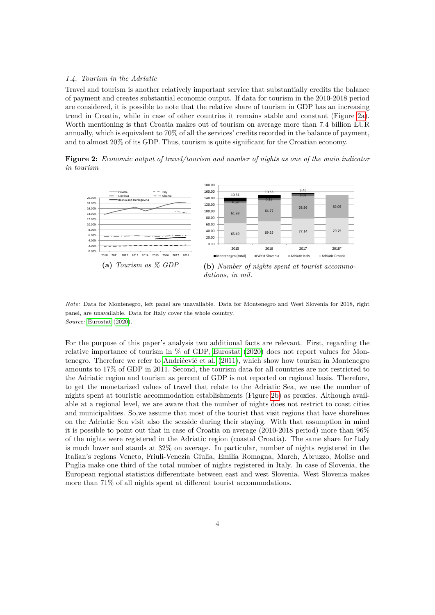### *1.4. Tourism in the Adriatic*

Travel and tourism is another relatively important service that substantially credits the balance of payment and creates substantial economic output. If data for tourism in the 2010-2018 period are considered, it is possible to note that the relative share of tourism in GDP has an increasing trend in Croatia, while in case of other countries it remains stable and constant (Figure [2a\)](#page-3-0). Worth mentioning is that Croatia makes out of tourism on average more than 7.4 billion EUR annually, which is equivalent to 70% of all the services' credits recorded in the balance of payment, and to almost 20% of its GDP. Thus, tourism is quite significant for the Croatian economy.

**Figure 2:** *Economic output of travel/tourism and number of nights as one of the main indicator in tourism*

<span id="page-3-0"></span>

*Note:* Data for Montenegro, left panel are unavailable. Data for Montenegro and West Slovenia for 2018, right panel, are unavailable. Data for Italy cover the whole country. *Source:* [Eurostat](#page-7-4) [\(2020\)](#page-7-4).

For the purpose of this paper's analysis two additional facts are relevant. First, regarding the relative importance of tourism in % of GDP, [Eurostat](#page-7-4) [\(2020\)](#page-7-4) does not report values for Montenegro. Therefore we refer to [Andričević et al.](#page-6-0) [\(2011\)](#page-6-0), which show how tourism in Montenegro amounts to 17% of GDP in 2011. Second, the tourism data for all countries are not restricted to the Adriatic region and tourism as percent of GDP is not reported on regional basis. Therefore, to get the monetarized values of travel that relate to the Adriatic Sea, we use the number of nights spent at touristic accommodation establishments (Figure [2b\)](#page-3-0) as proxies. Although available at a regional level, we are aware that the number of nights does not restrict to coast cities and municipalities. So,we assume that most of the tourist that visit regions that have shorelines on the Adriatic Sea visit also the seaside during their staying. With that assumption in mind it is possible to point out that in case of Croatia on average (2010-2018 period) more than 96% of the nights were registered in the Adriatic region (coastal Croatia). The same share for Italy is much lower and stands at 32% on average. In particular, number of nights registered in the Italian's regions Veneto, Friuli-Venezia Giulia, Emilia Romagna, March, Abruzzo, Molise and Puglia make one third of the total number of nights registered in Italy. In case of Slovenia, the European regional statistics differentiate between east and west Slovenia. West Slovenia makes more than 71% of all nights spent at different tourist accommodations.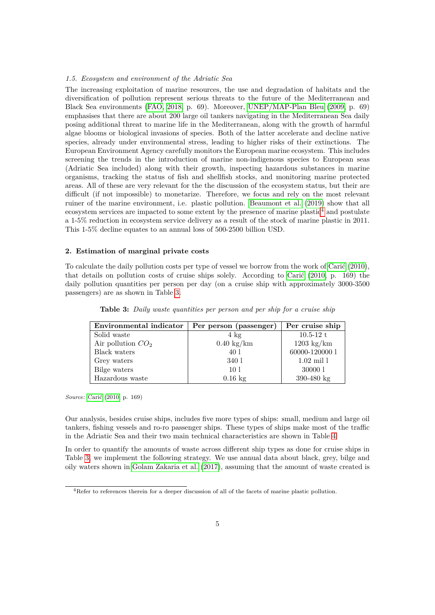#### *1.5. Ecosystem and environment of the Adriatic Sea*

The increasing exploitation of marine resources, the use and degradation of habitats and the diversification of pollution represent serious threats to the future of the Mediterranean and Black Sea environments [\(FAO, 2018,](#page-7-5) p. 69). Moreover, [UNEP/MAP-Plan Bleu](#page-7-6) [\(2009,](#page-7-6) p. 69) emphasises that there are about 200 large oil tankers navigating in the Mediterranean Sea daily posing additional threat to marine life in the Mediterranean, along with the growth of harmful algae blooms or biological invasions of species. Both of the latter accelerate and decline native species, already under environmental stress, leading to higher risks of their extinctions. The European Environment Agency carefully monitors the European marine ecosystem. This includes screening the trends in the introduction of marine non-indigenous species to European seas (Adriatic Sea included) along with their growth, inspecting hazardous substances in marine organisms, tracking the status of fish and shellfish stocks, and monitoring marine protected areas. All of these are very relevant for the the discussion of the ecosystem status, but their are difficult (if not impossible) to monetarize. Therefore, we focus and rely on the most relevant ruiner of the marine environment, i.e. plastic pollution. [Beaumont et al.](#page-6-1) [\(2019\)](#page-6-1) show that all ecosystem services are impacted to some extent by the presence of marine plastic $4$  and postulate a 1-5% reduction in ecosystem service delivery as a result of the stock of marine plastic in 2011. This 1-5% decline equates to an annual loss of 500-2500 billion USD.

## **2. Estimation of marginal private costs**

To calculate the daily pollution costs per type of vessel we borrow from the work of [Carić](#page-6-2) [\(2010\)](#page-6-2), that details on pollution costs of cruise ships solely. According to [Carić](#page-6-2) [\(2010,](#page-6-2) p. 169) the daily pollution quantities per person per day (on a cruise ship with approximately 3000-3500 passengers) are as shown in Table [3.](#page-4-0)

<span id="page-4-0"></span>

| Environmental indicator | Per person (passenger) | Per cruise ship      |  |
|-------------------------|------------------------|----------------------|--|
| Solid waste             | $4 \text{ kg}$         | $10.5 - 12 t$        |  |
| Air pollution $CO2$     | $0.40 \text{ kg/km}$   | $1203 \text{ kg/km}$ |  |
| Black waters            | 40 1                   | 60000-120000 1       |  |
| Grey waters             | 340 1                  | $1.02 \text{ mil}$   |  |
| Bilge waters            | 10 <sup>1</sup>        | 30000 1              |  |
| Hazardous waste         | $0.16$ kg              | $390 - 480$ kg       |  |

**Table 3:** *Daily waste quantities per person and per ship for a cruise ship*

*Source:* [Carić](#page-6-2) [\(2010,](#page-6-2) p. 169)

Our analysis, besides cruise ships, includes five more types of ships: small, medium and large oil tankers, fishing vessels and ro-ro passenger ships. These types of ships make most of the traffic in the Adriatic Sea and their two main technical characteristics are shown in Table [4](#page-5-0)

In order to quantify the amounts of waste across different ship types as done for cruise ships in Table [3,](#page-4-0) we implement the following strategy. We use annual data about black, grey, bilge and oily waters shown in [Golam Zakaria et al.](#page-7-7) [\(2017\)](#page-7-7), assuming that the amount of waste created is

<sup>4</sup>Refer to references therein for a deeper discussion of all of the facets of marine plastic pollution.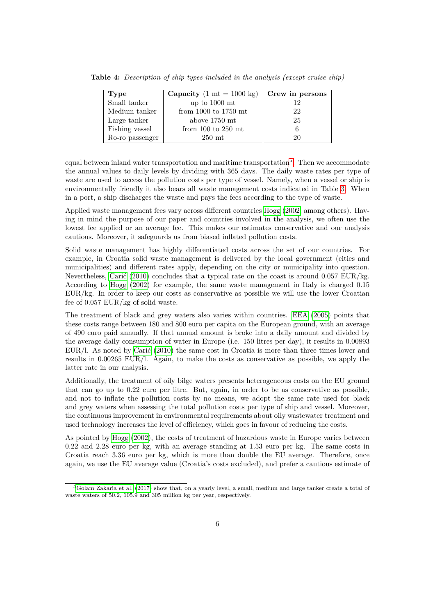| <b>Type</b>     | Capacity $(1 \text{ mt} = 1000 \text{ kg})$ | Crew in persons |
|-----------------|---------------------------------------------|-----------------|
| Small tanker    | up to $1000$ mt                             | 12              |
| Medium tanker   | from $1000$ to $1750$ mt                    | 22              |
| Large tanker    | above 1750 mt                               | 25              |
| Fishing vessel  | from $100$ to $250$ mt                      |                 |
| Ro-ro passenger | $250$ mt                                    | 20              |

<span id="page-5-0"></span>**Table 4:** *Description of ship types included in the analysis (except cruise ship)*

equal between inland water transportation and maritime transportation<sup>[5](#page-0-0)</sup>. Then we accommodate the annual values to daily levels by dividing with 365 days. The daily waste rates per type of waste are used to access the pollution costs per type of vessel. Namely, when a vessel or ship is environmentally friendly it also bears all waste management costs indicated in Table [3.](#page-4-0) When in a port, a ship discharges the waste and pays the fees according to the type of waste.

Applied waste management fees vary across different countries [Hogg](#page-6-3) [\(2002,](#page-6-3) among others). Having in mind the purpose of our paper and countries involved in the analysis, we often use the lowest fee applied or an average fee. This makes our estimates conservative and our analysis cautious. Moreover, it safeguards us from biased inflated pollution costs.

Solid waste management has highly differentiated costs across the set of our countries. For example, in Croatia solid waste management is delivered by the local government (cities and municipalities) and different rates apply, depending on the city or municipality into question. Nevertheless, [Carić](#page-6-2) [\(2010\)](#page-6-2) concludes that a typical rate on the coast is around 0.057 EUR/kg. According to [Hogg](#page-6-3) [\(2002\)](#page-6-3) for example, the same waste management in Italy is charged 0.15 EUR/kg. In order to keep our costs as conservative as possible we will use the lower Croatian fee of 0.057 EUR/kg of solid waste.

The treatment of black and grey waters also varies within countries. [EEA](#page-7-8) [\(2005\)](#page-7-8) points that these costs range between 180 and 800 euro per capita on the European ground, with an average of 490 euro paid annually. If that annual amount is broke into a daily amount and divided by the average daily consumption of water in Europe (i.e. 150 litres per day), it results in 0.00893 EUR/l. As noted by [Carić](#page-6-2) [\(2010\)](#page-6-2) the same cost in Croatia is more than three times lower and results in 0.00265 EUR/l. Again, to make the costs as conservative as possible, we apply the latter rate in our analysis.

Additionally, the treatment of oily bilge waters presents heterogeneous costs on the EU ground that can go up to 0.22 euro per litre. But, again, in order to be as conservative as possible, and not to inflate the pollution costs by no means, we adopt the same rate used for black and grey waters when assessing the total pollution costs per type of ship and vessel. Moreover, the continuous improvement in environmental requirements about oily wastewater treatment and used technology increases the level of efficiency, which goes in favour of reducing the costs.

As pointed by [Hogg](#page-6-3) [\(2002\)](#page-6-3), the costs of treatment of hazardous waste in Europe varies between 0.22 and 2.28 euro per kg, with an average standing at 1.53 euro per kg. The same costs in Croatia reach 3.36 euro per kg, which is more than double the EU average. Therefore, once again, we use the EU average value (Croatia's costs excluded), and prefer a cautious estimate of

<sup>5</sup>[Golam Zakaria et al.](#page-7-7) [\(2017\)](#page-7-7) show that, on a yearly level, a small, medium and large tanker create a total of waste waters of 50.2, 105.9 and 305 million kg per year, respectively.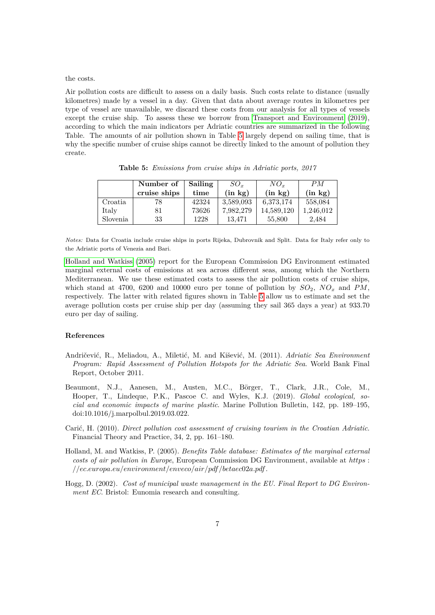the costs.

Air pollution costs are difficult to assess on a daily basis. Such costs relate to distance (usually kilometres) made by a vessel in a day. Given that data about average routes in kilometres per type of vessel are unavailable, we discard these costs from our analysis for all types of vessels except the cruise ship. To assess these we borrow from [Transport and Environment](#page-7-9) [\(2019\)](#page-7-9), according to which the main indicators per Adriatic countries are summarized in the following Table. The amounts of air pollution shown in Table [5](#page-6-4) largely depend on sailing time, that is why the specific number of cruise ships cannot be directly linked to the amount of pollution they create.

<span id="page-6-4"></span>

|          | Number of    | Sailing | $SO_r$       | $NO_r$       | PM           |
|----------|--------------|---------|--------------|--------------|--------------|
|          | cruise ships | time    | $(in \; kg)$ | $(in \; kg)$ | $(in \; kg)$ |
| Croatia  | 78           | 42324   | 3,589,093    | 6,373,174    | 558,084      |
| Italy    | 81           | 73626   | 7,982,279    | 14,589,120   | 1,246,012    |
| Slovenia | 33           | 1228    | 13.471       | 55,800       | 2.484        |

**Table 5:** *Emissions from cruise ships in Adriatic ports, 2017*

*Notes:* Data for Croatia include cruise ships in ports Rijeka, Dubrovnik and Split. Data for Italy refer only to the Adriatic ports of Venezia and Bari.

[Holland and Watkiss](#page-6-5) [\(2005\)](#page-6-5) report for the European Commission DG Environment estimated marginal external costs of emissions at sea across different seas, among which the Northern Mediterranean. We use these estimated costs to assess the air pollution costs of cruise ships, which stand at 4700, 6200 and 10000 euro per tonne of pollution by  $SO_2$ ,  $NO_x$  and  $PM$ , respectively. The latter with related figures shown in Table [5](#page-6-4) allow us to estimate and set the average pollution costs per cruise ship per day (assuming they sail 365 days a year) at 933.70 euro per day of sailing.

#### **References**

- <span id="page-6-0"></span>Andričević, R., Meliadou, A., Miletić, M. and Kišević, M. (2011). *Adriatic Sea Environment Program: Rapid Assessment of Pollution Hotspots for the Adriatic Sea*. World Bank Final Report, October 2011.
- <span id="page-6-1"></span>Beaumont, N.J., Aanesen, M., Austen, M.C., Börger, T., Clark, J.R., Cole, M., Hooper, T., Lindeque, P.K., Pascoe C. and Wyles, K.J. (2019). *Global ecological, social and economic impacts of marine plastic*. Marine Pollution Bulletin, 142, pp. 189–195, doi:10.1016/j.marpolbul.2019.03.022.
- <span id="page-6-2"></span>Carić, H. (2010). *Direct pollution cost assessment of cruising tourism in the Croatian Adriatic*. Financial Theory and Practice, 34, 2, pp. 161–180.
- <span id="page-6-5"></span>Holland, M. and Watkiss, P. (2005). *Benefits Table database: Estimates of the marginal external costs of air pollution in Europe*, European Commission DG Environment, available at *https* : *//ec.europa.eu/environment/enveco/air/pdf /betaec*02*a.pdf*.
- <span id="page-6-3"></span>Hogg, D. (2002). *Cost of municipal waste management in the EU. Final Report to DG Environment EC*. Bristol: Eunomia research and consulting.